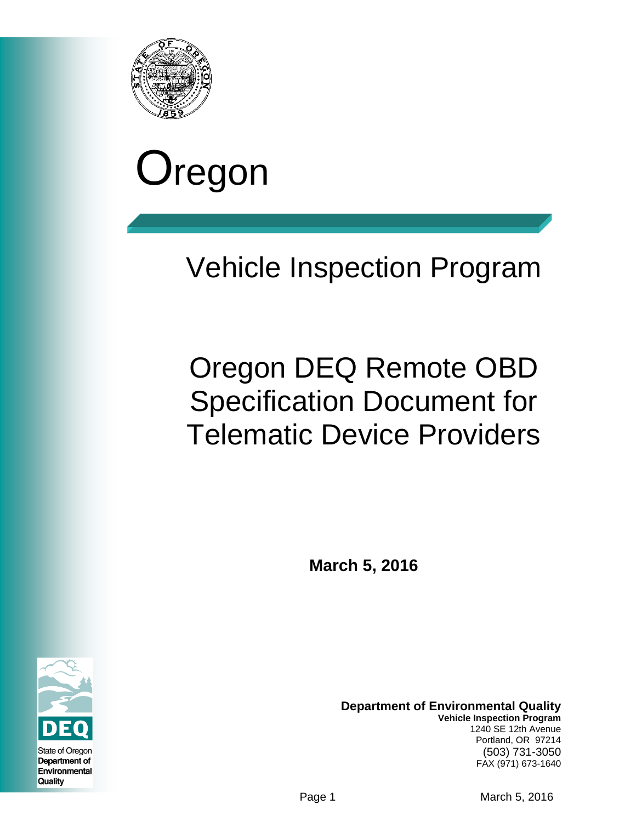



# Vehicle Inspection Program

# Oregon DEQ Remote OBD Specification Document for Telematic Device Providers

**March 5, 2016**



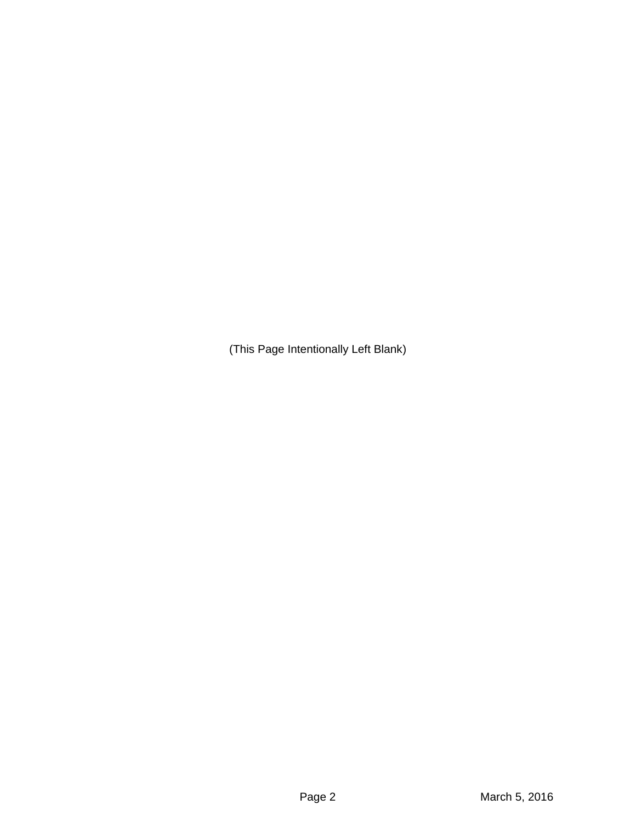(This Page Intentionally Left Blank)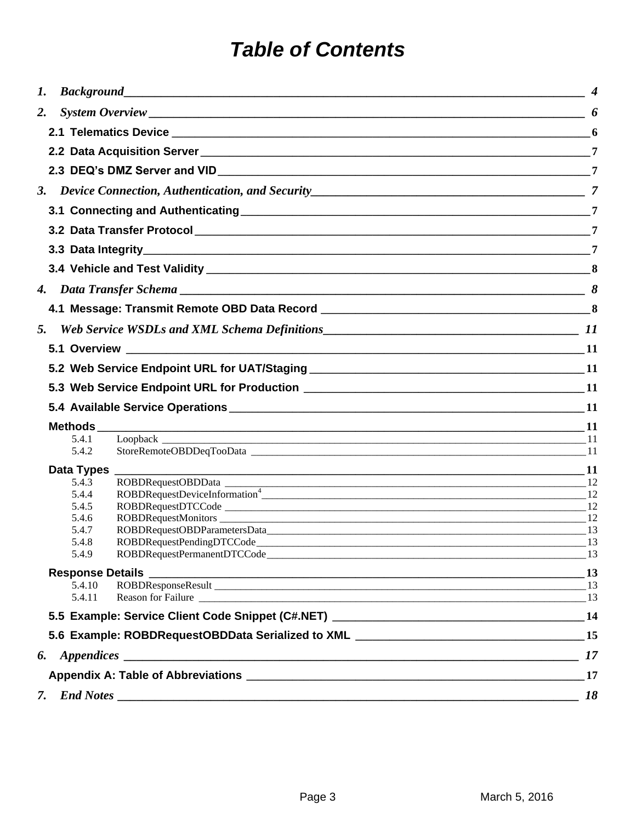# **Table of Contents**

| 1. |                            | <b>Background</b>                                                  | $\boldsymbol{\varLambda}$ |
|----|----------------------------|--------------------------------------------------------------------|---------------------------|
| 2. |                            |                                                                    |                           |
|    |                            |                                                                    |                           |
|    |                            |                                                                    | $\overline{7}$            |
|    |                            |                                                                    |                           |
|    |                            |                                                                    |                           |
|    |                            |                                                                    |                           |
|    |                            |                                                                    |                           |
|    |                            |                                                                    |                           |
|    |                            |                                                                    |                           |
|    |                            |                                                                    |                           |
|    |                            |                                                                    |                           |
|    |                            |                                                                    |                           |
|    |                            |                                                                    |                           |
|    |                            |                                                                    |                           |
|    |                            |                                                                    |                           |
|    |                            |                                                                    |                           |
|    |                            |                                                                    |                           |
|    |                            |                                                                    | <b>11</b>                 |
|    | <b>Methods</b>             | and the contract of the contract of the contract of $\sim$ $11$    |                           |
|    | 5.4.1<br>5.4.2             | Loop back                                                          |                           |
|    |                            |                                                                    |                           |
|    | <b>Data Types</b><br>5.4.3 |                                                                    | <b>11</b>                 |
|    | 5.4.4                      | ROBDRequestOBDData 12<br>ROBDRequestDeviceInformation <sup>4</sup> |                           |
|    | 5.4.5                      |                                                                    | -12                       |
|    | 5.4.6                      |                                                                    |                           |
|    | 5.4.7                      |                                                                    |                           |
|    | 5.4.8                      |                                                                    | -13                       |
|    | 5.4.9                      |                                                                    |                           |
|    |                            |                                                                    |                           |
|    | 5.4.10                     |                                                                    |                           |
|    | 5.4.11                     |                                                                    |                           |
|    |                            |                                                                    |                           |
|    |                            |                                                                    |                           |
|    |                            |                                                                    |                           |
|    |                            |                                                                    | 17                        |
|    |                            |                                                                    |                           |
| 7. |                            |                                                                    | -18                       |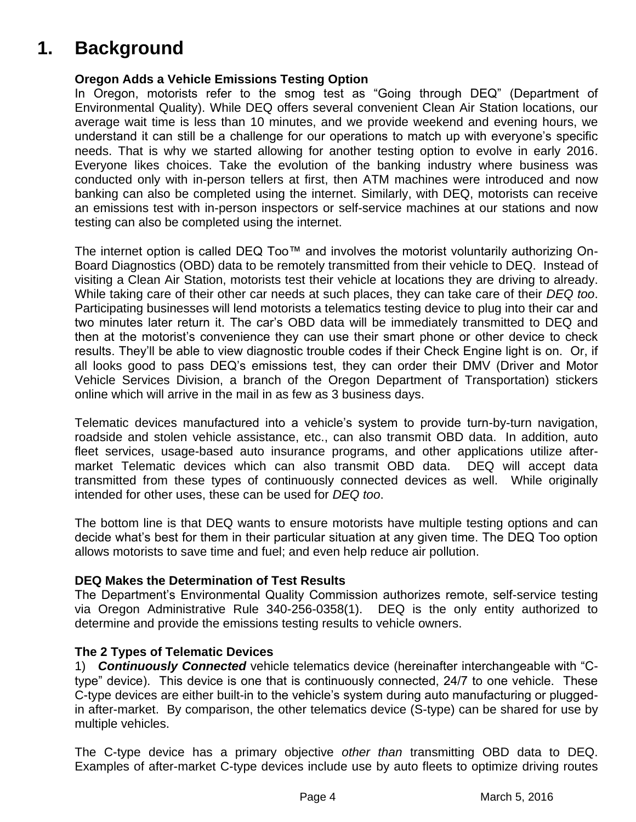# <span id="page-3-0"></span>**1. Background**

#### **Oregon Adds a Vehicle Emissions Testing Option**

In Oregon, motorists refer to the smog test as "Going through DEQ" (Department of Environmental Quality). While DEQ offers several convenient Clean Air Station locations, our average wait time is less than 10 minutes, and we provide weekend and evening hours, we understand it can still be a challenge for our operations to match up with everyone's specific needs. That is why we started allowing for another testing option to evolve in early 2016. Everyone likes choices. Take the evolution of the banking industry where business was conducted only with in-person tellers at first, then ATM machines were introduced and now banking can also be completed using the internet. Similarly, with DEQ, motorists can receive an emissions test with in-person inspectors or self-service machines at our stations and now testing can also be completed using the internet.

The internet option is called DEQ Too™ and involves the motorist voluntarily authorizing On-Board Diagnostics (OBD) data to be remotely transmitted from their vehicle to DEQ. Instead of visiting a Clean Air Station, motorists test their vehicle at locations they are driving to already. While taking care of their other car needs at such places, they can take care of their *DEQ too*. Participating businesses will lend motorists a telematics testing device to plug into their car and two minutes later return it. The car's OBD data will be immediately transmitted to DEQ and then at the motorist's convenience they can use their smart phone or other device to check results. They'll be able to view diagnostic trouble codes if their Check Engine light is on. Or, if all looks good to pass DEQ's emissions test, they can order their DMV (Driver and Motor Vehicle Services Division, a branch of the Oregon Department of Transportation) stickers online which will arrive in the mail in as few as 3 business days.

Telematic devices manufactured into a vehicle's system to provide turn-by-turn navigation, roadside and stolen vehicle assistance, etc., can also transmit OBD data. In addition, auto fleet services, usage-based auto insurance programs, and other applications utilize aftermarket Telematic devices which can also transmit OBD data. DEQ will accept data transmitted from these types of continuously connected devices as well. While originally intended for other uses, these can be used for *DEQ too*.

The bottom line is that DEQ wants to ensure motorists have multiple testing options and can decide what's best for them in their particular situation at any given time. The DEQ Too option allows motorists to save time and fuel; and even help reduce air pollution.

#### **DEQ Makes the Determination of Test Results**

The Department's Environmental Quality Commission authorizes remote, self-service testing via Oregon Administrative Rule 340-256-0358(1). DEQ is the only entity authorized to determine and provide the emissions testing results to vehicle owners.

#### **The 2 Types of Telematic Devices**

1) *Continuously Connected* vehicle telematics device (hereinafter interchangeable with "Ctype" device). This device is one that is continuously connected, 24/7 to one vehicle. These C-type devices are either built-in to the vehicle's system during auto manufacturing or pluggedin after-market. By comparison, the other telematics device (S-type) can be shared for use by multiple vehicles.

The C-type device has a primary objective *other than* transmitting OBD data to DEQ. Examples of after-market C-type devices include use by auto fleets to optimize driving routes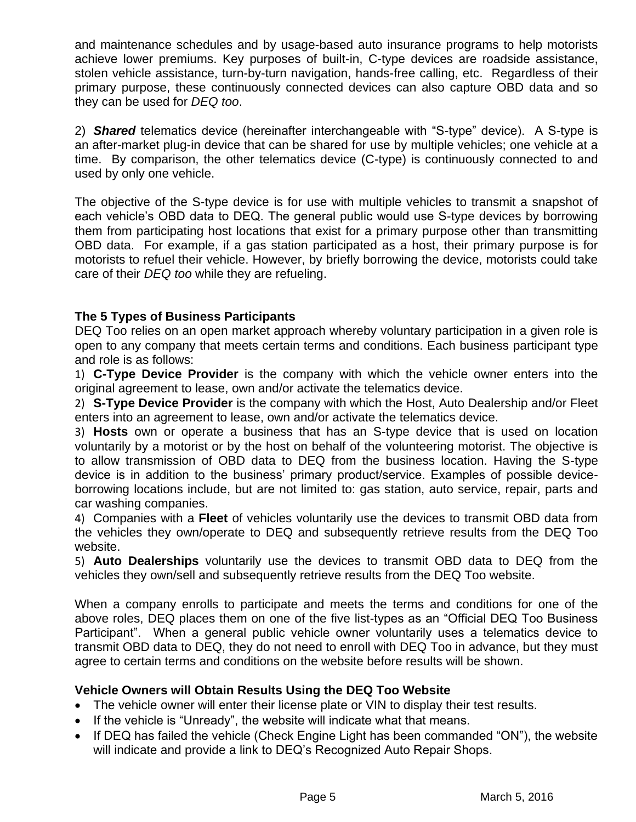and maintenance schedules and by usage-based auto insurance programs to help motorists achieve lower premiums. Key purposes of built-in, C-type devices are roadside assistance, stolen vehicle assistance, turn-by-turn navigation, hands-free calling, etc. Regardless of their primary purpose, these continuously connected devices can also capture OBD data and so they can be used for *DEQ too*.

2) *Shared* telematics device (hereinafter interchangeable with "S-type" device). A S-type is an after-market plug-in device that can be shared for use by multiple vehicles; one vehicle at a time. By comparison, the other telematics device (C-type) is continuously connected to and used by only one vehicle.

The objective of the S-type device is for use with multiple vehicles to transmit a snapshot of each vehicle's OBD data to DEQ. The general public would use S-type devices by borrowing them from participating host locations that exist for a primary purpose other than transmitting OBD data. For example, if a gas station participated as a host, their primary purpose is for motorists to refuel their vehicle. However, by briefly borrowing the device, motorists could take care of their *DEQ too* while they are refueling.

#### **The 5 Types of Business Participants**

DEQ Too relies on an open market approach whereby voluntary participation in a given role is open to any company that meets certain terms and conditions. Each business participant type and role is as follows:

1) **C-Type Device Provider** is the company with which the vehicle owner enters into the original agreement to lease, own and/or activate the telematics device.

2) **S-Type Device Provider** is the company with which the Host, Auto Dealership and/or Fleet enters into an agreement to lease, own and/or activate the telematics device.

3) **Hosts** own or operate a business that has an S-type device that is used on location voluntarily by a motorist or by the host on behalf of the volunteering motorist. The objective is to allow transmission of OBD data to DEQ from the business location. Having the S-type device is in addition to the business' primary product/service. Examples of possible deviceborrowing locations include, but are not limited to: gas station, auto service, repair, parts and car washing companies.

4) Companies with a **Fleet** of vehicles voluntarily use the devices to transmit OBD data from the vehicles they own/operate to DEQ and subsequently retrieve results from the DEQ Too website.

5) **Auto Dealerships** voluntarily use the devices to transmit OBD data to DEQ from the vehicles they own/sell and subsequently retrieve results from the DEQ Too website.

When a company enrolls to participate and meets the terms and conditions for one of the above roles, DEQ places them on one of the five list-types as an "Official DEQ Too Business Participant". When a general public vehicle owner voluntarily uses a telematics device to transmit OBD data to DEQ, they do not need to enroll with DEQ Too in advance, but they must agree to certain terms and conditions on the website before results will be shown.

#### **Vehicle Owners will Obtain Results Using the DEQ Too Website**

- The vehicle owner will enter their license plate or VIN to display their test results.
- $\bullet$  If the vehicle is "Unready", the website will indicate what that means.
- If DEQ has failed the vehicle (Check Engine Light has been commanded "ON"), the website will indicate and provide a link to DEQ's Recognized Auto Repair Shops.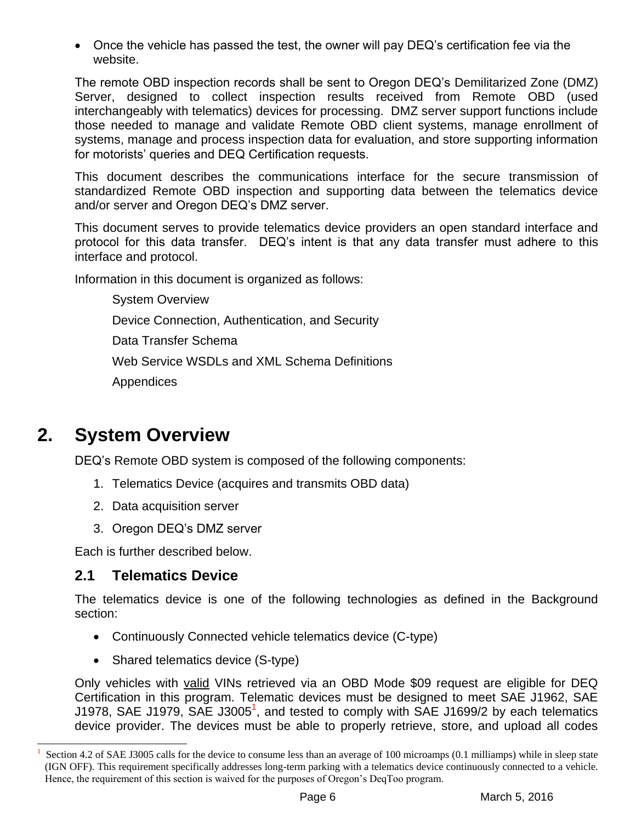Once the vehicle has passed the test, the owner will pay DEQ's certification fee via the website.

The remote OBD inspection records shall be sent to Oregon DEQ's Demilitarized Zone (DMZ) Server, designed to collect inspection results received from Remote OBD (used interchangeably with telematics) devices for processing. DMZ server support functions include those needed to manage and validate Remote OBD client systems, manage enrollment of systems, manage and process inspection data for evaluation, and store supporting information for motorists' queries and DEQ Certification requests.

This document describes the communications interface for the secure transmission of standardized Remote OBD inspection and supporting data between the telematics device and/or server and Oregon DEQ's DMZ server.

This document serves to provide telematics device providers an open standard interface and protocol for this data transfer. DEQ's intent is that any data transfer must adhere to this interface and protocol.

Information in this document is organized as follows:

System Overview Device Connection, Authentication, and Security Data Transfer Schema Web Service WSDLs and XML Schema Definitions Appendices

# <span id="page-5-0"></span>**2. System Overview**

DEQ's Remote OBD system is composed of the following components:

- 1. Telematics Device (acquires and transmits OBD data)
- 2. Data acquisition server
- 3. Oregon DEQ's DMZ server

Each is further described below.

### <span id="page-5-1"></span>**2.1 Telematics Device**

 $\overline{a}$ 

The telematics device is one of the following technologies as defined in the Background section:

- Continuously Connected vehicle telematics device (C-type)
- Shared telematics device (S-type)

Only vehicles with valid VINs retrieved via an OBD Mode \$09 request are eligible for DEQ Certification in this program. Telematic devices must be designed to meet SAE J1962, SAE J1978, SAE J1979, SAE J3005<sup>1</sup>, and tested to comply with SAE J1699/2 by each telematics device provider. The devices must be able to properly retrieve, store, and upload all codes

<sup>1</sup> Section 4.2 of SAE J3005 calls for the device to consume less than an average of 100 microamps (0.1 milliamps) while in sleep state (IGN OFF). This requirement specifically addresses long-term parking with a telematics device continuously connected to a vehicle. Hence, the requirement of this section is waived for the purposes of Oregon's DeqToo program.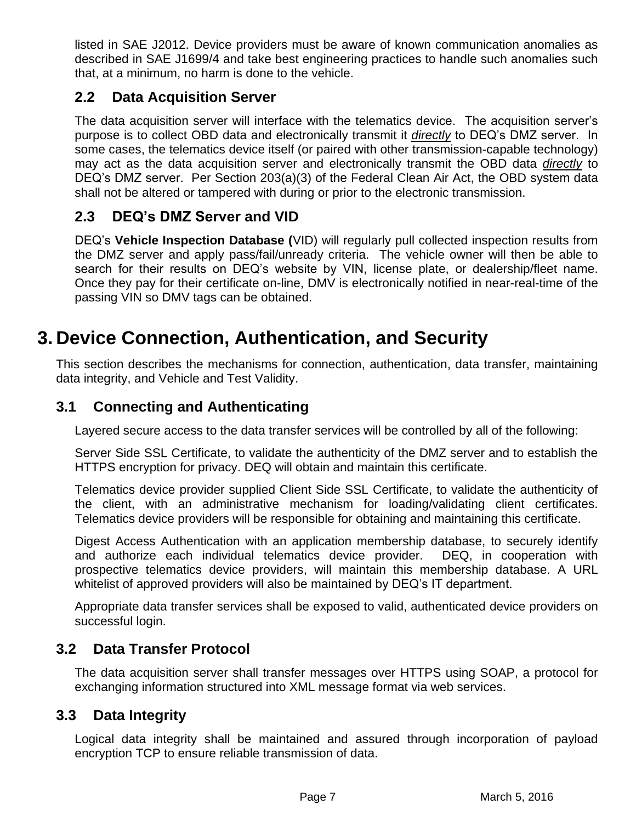listed in SAE J2012. Device providers must be aware of known communication anomalies as described in SAE J1699/4 and take best engineering practices to handle such anomalies such that, at a minimum, no harm is done to the vehicle.

# <span id="page-6-0"></span>**2.2 Data Acquisition Server**

The data acquisition server will interface with the telematics device. The acquisition server's purpose is to collect OBD data and electronically transmit it *directly* to DEQ's DMZ server. In some cases, the telematics device itself (or paired with other transmission-capable technology) may act as the data acquisition server and electronically transmit the OBD data *directly* to DEQ's DMZ server. Per Section 203(a)(3) of the Federal Clean Air Act, the OBD system data shall not be altered or tampered with during or prior to the electronic transmission.

# <span id="page-6-1"></span>**2.3 DEQ's DMZ Server and VID**

DEQ's **Vehicle Inspection Database (**VID) will regularly pull collected inspection results from the DMZ server and apply pass/fail/unready criteria. The vehicle owner will then be able to search for their results on DEQ's website by VIN, license plate, or dealership/fleet name. Once they pay for their certificate on-line, DMV is electronically notified in near-real-time of the passing VIN so DMV tags can be obtained.

# <span id="page-6-2"></span>**3. Device Connection, Authentication, and Security**

This section describes the mechanisms for connection, authentication, data transfer, maintaining data integrity, and Vehicle and Test Validity.

# <span id="page-6-3"></span>**3.1 Connecting and Authenticating**

Layered secure access to the data transfer services will be controlled by all of the following:

Server Side SSL Certificate, to validate the authenticity of the DMZ server and to establish the HTTPS encryption for privacy. DEQ will obtain and maintain this certificate.

Telematics device provider supplied Client Side SSL Certificate, to validate the authenticity of the client, with an administrative mechanism for loading/validating client certificates. Telematics device providers will be responsible for obtaining and maintaining this certificate.

Digest Access Authentication with an application membership database, to securely identify and authorize each individual telematics device provider. DEQ, in cooperation with prospective telematics device providers, will maintain this membership database. A URL whitelist of approved providers will also be maintained by DEQ's IT department.

Appropriate data transfer services shall be exposed to valid, authenticated device providers on successful login.

# <span id="page-6-4"></span>**3.2 Data Transfer Protocol**

The data acquisition server shall transfer messages over HTTPS using SOAP, a protocol for exchanging information structured into XML message format via web services.

### <span id="page-6-5"></span>**3.3 Data Integrity**

Logical data integrity shall be maintained and assured through incorporation of payload encryption TCP to ensure reliable transmission of data.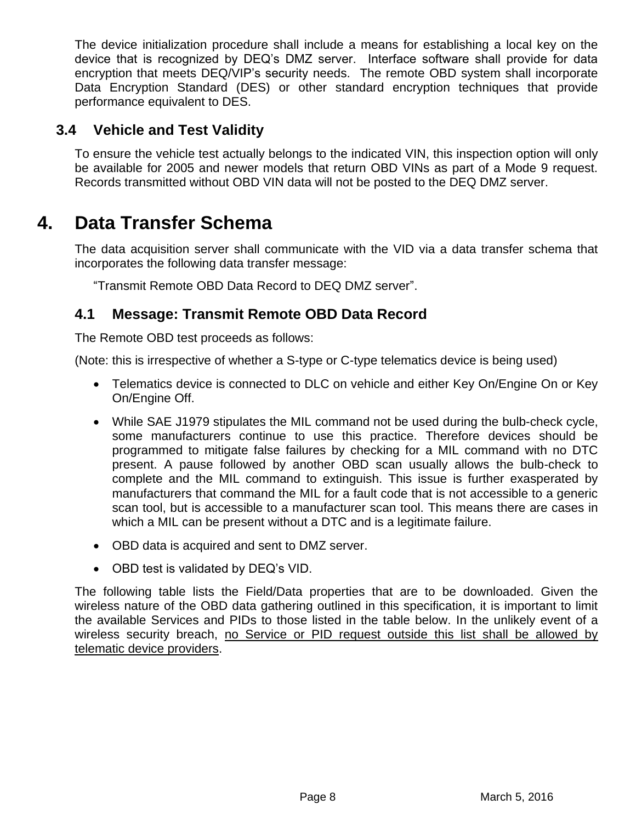The device initialization procedure shall include a means for establishing a local key on the device that is recognized by DEQ's DMZ server. Interface software shall provide for data encryption that meets DEQ/VIP's security needs. The remote OBD system shall incorporate Data Encryption Standard (DES) or other standard encryption techniques that provide performance equivalent to DES.

# <span id="page-7-0"></span>**3.4 Vehicle and Test Validity**

To ensure the vehicle test actually belongs to the indicated VIN, this inspection option will only be available for 2005 and newer models that return OBD VINs as part of a Mode 9 request. Records transmitted without OBD VIN data will not be posted to the DEQ DMZ server.

# <span id="page-7-1"></span>**4. Data Transfer Schema**

The data acquisition server shall communicate with the VID via a data transfer schema that incorporates the following data transfer message:

"Transmit Remote OBD Data Record to DEQ DMZ server".

### <span id="page-7-2"></span>**4.1 Message: Transmit Remote OBD Data Record**

The Remote OBD test proceeds as follows:

(Note: this is irrespective of whether a S-type or C-type telematics device is being used)

- Telematics device is connected to DLC on vehicle and either Key On/Engine On or Key On/Engine Off.
- While SAE J1979 stipulates the MIL command not be used during the bulb-check cycle, some manufacturers continue to use this practice. Therefore devices should be programmed to mitigate false failures by checking for a MIL command with no DTC present. A pause followed by another OBD scan usually allows the bulb-check to complete and the MIL command to extinguish. This issue is further exasperated by manufacturers that command the MIL for a fault code that is not accessible to a generic scan tool, but is accessible to a manufacturer scan tool. This means there are cases in which a MIL can be present without a DTC and is a legitimate failure.
- OBD data is acquired and sent to DMZ server.
- OBD test is validated by DEQ's VID.

The following table lists the Field/Data properties that are to be downloaded. Given the wireless nature of the OBD data gathering outlined in this specification, it is important to limit the available Services and PIDs to those listed in the table below. In the unlikely event of a wireless security breach, no Service or PID request outside this list shall be allowed by telematic device providers.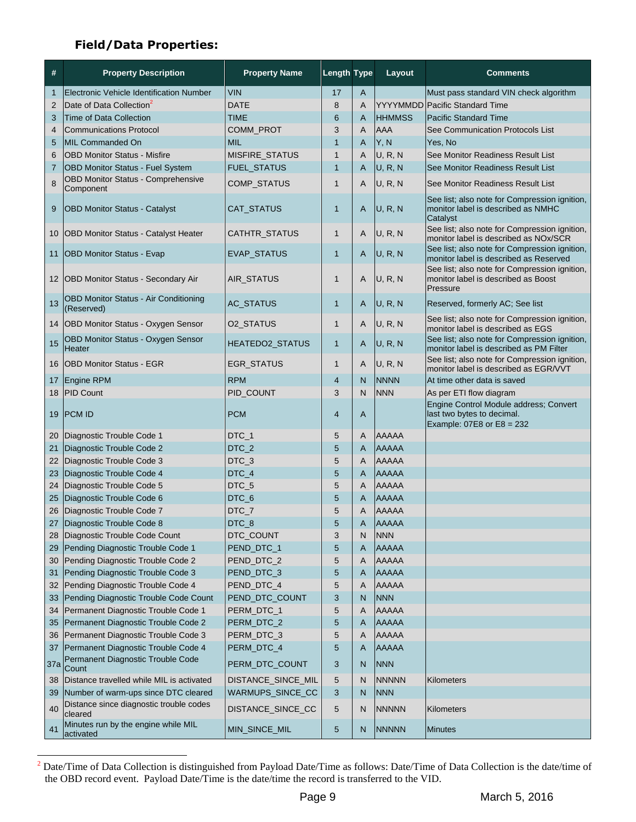#### **Field/Data Properties:**

| #           | <b>Property Description</b>                         | <b>Property Name</b> | <b>Length Type</b> |                | Layout        | <b>Comments</b>                                                                                       |
|-------------|-----------------------------------------------------|----------------------|--------------------|----------------|---------------|-------------------------------------------------------------------------------------------------------|
| $\mathbf 1$ | Electronic Vehicle Identification Number            | <b>VIN</b>           | 17                 | A              |               | Must pass standard VIN check algorithm                                                                |
| 2           | Date of Data Collection <sup>2</sup>                | <b>DATE</b>          | 8                  | A              | YYYYMMDD      | <b>Pacific Standard Time</b>                                                                          |
| 3           | Time of Data Collection                             | <b>TIME</b>          | 6                  | $\overline{A}$ | <b>HHMMSS</b> | <b>Pacific Standard Time</b>                                                                          |
| 4           | <b>Communications Protocol</b>                      | COMM_PROT            | 3                  | A              | AAA           | See Communication Protocols List                                                                      |
| 5           | <b>MIL Commanded On</b>                             | <b>MIL</b>           | $\mathbf{1}$       | $\overline{A}$ | Y, N          | Yes, No                                                                                               |
| 6           | <b>OBD Monitor Status - Misfire</b>                 | MISFIRE_STATUS       | $\mathbf{1}$       | A              | U, R, N       | See Monitor Readiness Result List                                                                     |
| 7           | <b>OBD Monitor Status - Fuel System</b>             | FUEL_STATUS          | $\mathbf{1}$       | A              | U, R, N       | See Monitor Readiness Result List                                                                     |
| 8           | OBD Monitor Status - Comprehensive                  | COMP_STATUS          | $\mathbf{1}$       | A              | U, R, N       | See Monitor Readiness Result List                                                                     |
|             | Component                                           |                      |                    |                |               |                                                                                                       |
| 9           | <b>OBD Monitor Status - Catalyst</b>                | CAT_STATUS           | $\mathbf{1}$       | A              | U, R, N       | See list; also note for Compression ignition,<br>monitor label is described as NMHC<br>Catalyst       |
| 10          | <b>OBD Monitor Status - Catalyst Heater</b>         | CATHTR_STATUS        | $\mathbf{1}$       | A              | U, R, N       | See list; also note for Compression ignition,<br>monitor label is described as NOx/SCR                |
| 11          | <b>OBD Monitor Status - Evap</b>                    | EVAP_STATUS          | $\mathbf{1}$       | A              | U, R, N       | See list; also note for Compression ignition,<br>monitor label is described as Reserved               |
| 12          | <b>OBD Monitor Status - Secondary Air</b>           | AIR_STATUS           | 1                  | A              | U, R, N       | See list; also note for Compression ignition,<br>monitor label is described as Boost<br>Pressure      |
| 13          | OBD Monitor Status - Air Conditioning<br>(Reserved) | <b>AC_STATUS</b>     | $\mathbf 1$        | A              | U, R, N       | Reserved, formerly AC; See list                                                                       |
| 14          | OBD Monitor Status - Oxygen Sensor                  | O2_STATUS            | $\mathbf{1}$       | A              | U, R, N       | See list; also note for Compression ignition,<br>monitor label is described as EGS                    |
| 15          | OBD Monitor Status - Oxygen Sensor<br>Heater        | HEATEDO2_STATUS      | $\mathbf 1$        | A              | U, R, N       | See list; also note for Compression ignition,<br>monitor label is described as PM Filter              |
| 16          | <b>OBD Monitor Status - EGR</b>                     | EGR_STATUS           | $\mathbf{1}$       | A              | U, R, N       | See list; also note for Compression ignition,<br>monitor label is described as EGR/VVT                |
| 17          | <b>Engine RPM</b>                                   | <b>RPM</b>           | $\overline{4}$     | N              | <b>NNNN</b>   | At time other data is saved                                                                           |
| 18          | <b>PID Count</b>                                    | PID_COUNT            | 3                  | N              | <b>NNN</b>    | As per ETI flow diagram                                                                               |
| 19          | <b>PCM ID</b>                                       | <b>PCM</b>           | $\overline{4}$     | A              |               | Engine Control Module address; Convert<br>last two bytes to decimal.<br>Example: $07E8$ or $E8 = 232$ |
| 20          | Diagnostic Trouble Code 1                           | $DTC_1$              | 5                  | A              | AAAAA         |                                                                                                       |
| 21          | Diagnostic Trouble Code 2                           | DTC_2                | 5                  | A              | <b>AAAAA</b>  |                                                                                                       |
| 22          | Diagnostic Trouble Code 3                           | DTC_3                | 5                  | A              | <b>AAAAA</b>  |                                                                                                       |
| 23          | Diagnostic Trouble Code 4                           | DTC_4                | 5                  | A              | <b>AAAAA</b>  |                                                                                                       |
| 24          | Diagnostic Trouble Code 5                           | DTC_5                | 5                  | A              | <b>AAAAA</b>  |                                                                                                       |
| 25          | Diagnostic Trouble Code 6                           | DTC_6                | 5                  | A              | <b>AAAAA</b>  |                                                                                                       |
| 26          | Diagnostic Trouble Code 7                           | DTC_7                | 5                  | A              | <b>AAAAA</b>  |                                                                                                       |
|             | 27 Diagnostic Trouble Code 8                        | DTC_8                | 5                  | A              | <b>AAAAA</b>  |                                                                                                       |
| 28          | Diagnostic Trouble Code Count                       | DTC_COUNT            | 3                  | N              | <b>NNN</b>    |                                                                                                       |
| 29          | Pending Diagnostic Trouble Code 1                   | PEND_DTC_1           | 5                  | A              | <b>AAAAA</b>  |                                                                                                       |
| 30          | Pending Diagnostic Trouble Code 2                   | PEND_DTC_2           | 5                  | A              | <b>AAAAA</b>  |                                                                                                       |
| 31          | Pending Diagnostic Trouble Code 3                   | PEND_DTC_3           | 5                  | A              | <b>AAAAA</b>  |                                                                                                       |
| 32          | Pending Diagnostic Trouble Code 4                   | PEND_DTC_4           | 5                  | A              | AAAAA         |                                                                                                       |
| 33          | Pending Diagnostic Trouble Code Count               | PEND_DTC_COUNT       | 3                  | N              | <b>NNN</b>    |                                                                                                       |
| 34          | Permanent Diagnostic Trouble Code 1                 | PERM_DTC_1           | 5                  | A              | AAAAA         |                                                                                                       |
| 35          | Permanent Diagnostic Trouble Code 2                 | PERM_DTC_2           | 5                  | A              | <b>AAAAA</b>  |                                                                                                       |
| 36          | Permanent Diagnostic Trouble Code 3                 | PERM_DTC_3           | 5                  | A              | <b>AAAAA</b>  |                                                                                                       |
| 37          | Permanent Diagnostic Trouble Code 4                 | PERM_DTC_4           | 5                  | A              | <b>AAAAA</b>  |                                                                                                       |
| 37a         | Permanent Diagnostic Trouble Code<br>Count          | PERM_DTC_COUNT       | 3                  | N              | <b>NNN</b>    |                                                                                                       |
| 38          | Distance travelled while MIL is activated           | DISTANCE_SINCE_MIL   | 5                  | N              | <b>NNNNN</b>  | Kilometers                                                                                            |
| 39          | Number of warm-ups since DTC cleared                | WARMUPS_SINCE_CC     | 3                  | N              | <b>NNN</b>    |                                                                                                       |
| 40          | Distance since diagnostic trouble codes<br>cleared  | DISTANCE_SINCE_CC    | 5                  | N              | <b>NNNNN</b>  | Kilometers                                                                                            |
| 41          | Minutes run by the engine while MIL<br>activated    | MIN_SINCE_MIL        | $\sqrt{5}$         | N              | <b>NNNNN</b>  | <b>Minutes</b>                                                                                        |

 $2^{2}$  Date/Time of Data Collection is distinguished from Payload Date/Time as follows: Date/Time of Data Collection is the date/time of the OBD record event. Payload Date/Time is the date/time the record is transferred to the VID.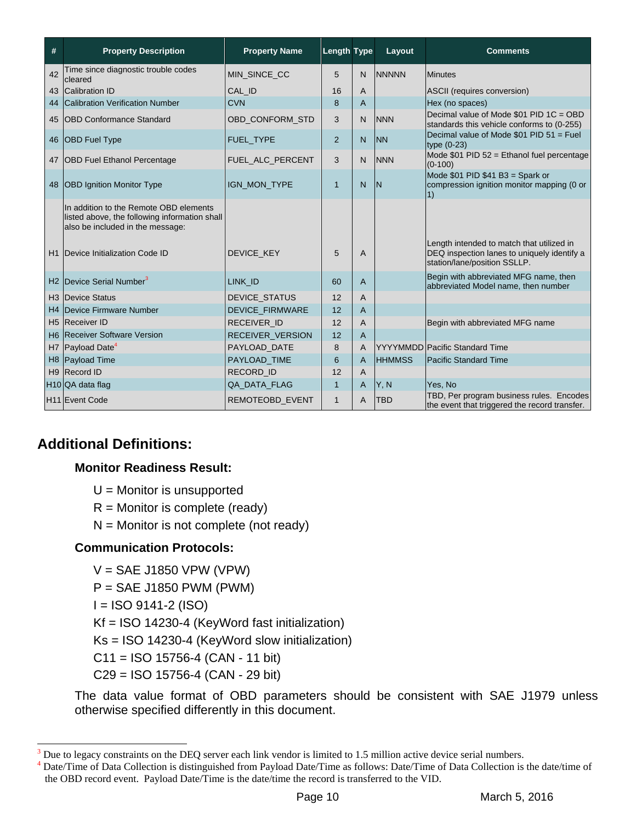| #  | <b>Property Description</b>                                                                                                 | <b>Property Name</b>   | <b>Length Type</b> |                | Layout        | <b>Comments</b>                                                                                                          |
|----|-----------------------------------------------------------------------------------------------------------------------------|------------------------|--------------------|----------------|---------------|--------------------------------------------------------------------------------------------------------------------------|
| 42 | Time since diagnostic trouble codes<br>cleared                                                                              | MIN SINCE CC           | 5                  | N              | <b>NNNNN</b>  | <b>Minutes</b>                                                                                                           |
| 43 | <b>Calibration ID</b>                                                                                                       | CAL ID                 | 16                 | $\overline{A}$ |               | ASCII (requires conversion)                                                                                              |
| 44 | <b>Calibration Verification Number</b>                                                                                      | <b>CVN</b>             | 8                  | $\overline{A}$ |               | Hex (no spaces)                                                                                                          |
| 45 | <b>OBD Conformance Standard</b>                                                                                             | OBD CONFORM STD        | 3                  | N              | <b>NNN</b>    | Decimal value of Mode \$01 PID 1C = OBD<br>standards this vehicle conforms to (0-255)                                    |
| 46 | <b>OBD</b> Fuel Type                                                                                                        | <b>FUEL TYPE</b>       | $\overline{2}$     | $\mathsf{N}$   | <b>NN</b>     | Decimal value of Mode \$01 PID 51 = Fuel<br>type $(0-23)$                                                                |
|    | 47 OBD Fuel Ethanol Percentage                                                                                              | FUEL ALC PERCENT       | 3                  | N              | <b>NNN</b>    | Mode \$01 PID 52 = Ethanol fuel percentage<br>$(0-100)$                                                                  |
|    | 48 OBD Ignition Monitor Type                                                                                                | <b>IGN MON TYPE</b>    | $\mathbf{1}$       | N              | N             | Mode \$01 PID \$41 B3 = Spark or<br>compression ignition monitor mapping (0 or<br>$\vert$ 1)                             |
|    | In addition to the Remote OBD elements<br>listed above, the following information shall<br>also be included in the message: |                        |                    |                |               |                                                                                                                          |
|    | H <sub>1</sub>   Device Initialization Code ID                                                                              | <b>DEVICE KEY</b>      | 5                  | A              |               | Length intended to match that utilized in<br>DEQ inspection lanes to uniquely identify a<br>station/lane/position SSLLP. |
|    | H <sub>2</sub> Device Serial Number <sup>3</sup>                                                                            | LINK ID                | 60                 | $\overline{A}$ |               | Begin with abbreviated MFG name, then<br>abbreviated Model name, then number                                             |
|    | <b>H3</b> Device Status                                                                                                     | <b>DEVICE STATUS</b>   | 12                 | $\overline{A}$ |               |                                                                                                                          |
|    | <b>H4 Device Firmware Number</b>                                                                                            | <b>DEVICE FIRMWARE</b> | 12                 | A              |               |                                                                                                                          |
|    | H <sub>5</sub> Receiver ID                                                                                                  | RECEIVER_ID            | 12                 | A              |               | Begin with abbreviated MFG name                                                                                          |
|    | <b>H6 Receiver Software Version</b>                                                                                         | RECEIVER VERSION       | 12                 | A              |               |                                                                                                                          |
|    | H7 Payload Date <sup>4</sup>                                                                                                | PAYLOAD DATE           | 8                  | A              |               | YYYYMMDD Pacific Standard Time                                                                                           |
|    | H8 Payload Time                                                                                                             | PAYLOAD TIME           | 6                  | $\overline{A}$ | <b>HHMMSS</b> | <b>Pacific Standard Time</b>                                                                                             |
|    | H <sub>9</sub> Record ID                                                                                                    | <b>RECORD ID</b>       | 12                 | A              |               |                                                                                                                          |
|    | H <sub>10</sub> QA data flag                                                                                                | QA DATA FLAG           | $\mathbf{1}$       | A              | Y, N          | Yes, No                                                                                                                  |
|    | <b>H11 Event Code</b>                                                                                                       | REMOTEOBD EVENT        | $\mathbf{1}$       | A              | <b>TBD</b>    | TBD, Per program business rules. Encodes<br>the event that triggered the record transfer.                                |

# **Additional Definitions:**

 $\overline{a}$ 

#### **Monitor Readiness Result:**

- $U =$  Monitor is unsupported
- $R =$  Monitor is complete (ready)
- N = Monitor is not complete (not ready)

### **Communication Protocols:**

- V = SAE J1850 VPW (VPW)
- P = SAE J1850 PWM (PWM)

$$
I = ISO 9141-2 (ISO)
$$

Kf = ISO 14230-4 (KeyWord fast initialization)

Ks = ISO 14230-4 (KeyWord slow initialization)

C11 = ISO 15756-4 (CAN - 11 bit)

C29 = ISO 15756-4 (CAN - 29 bit)

The data value format of OBD parameters should be consistent with SAE J1979 unless otherwise specified differently in this document.

Due to legacy constraints on the DEQ server each link vendor is limited to 1.5 million active device serial numbers.

Date/Time of Data Collection is distinguished from Payload Date/Time as follows: Date/Time of Data Collection is the date/time of the OBD record event. Payload Date/Time is the date/time the record is transferred to the VID.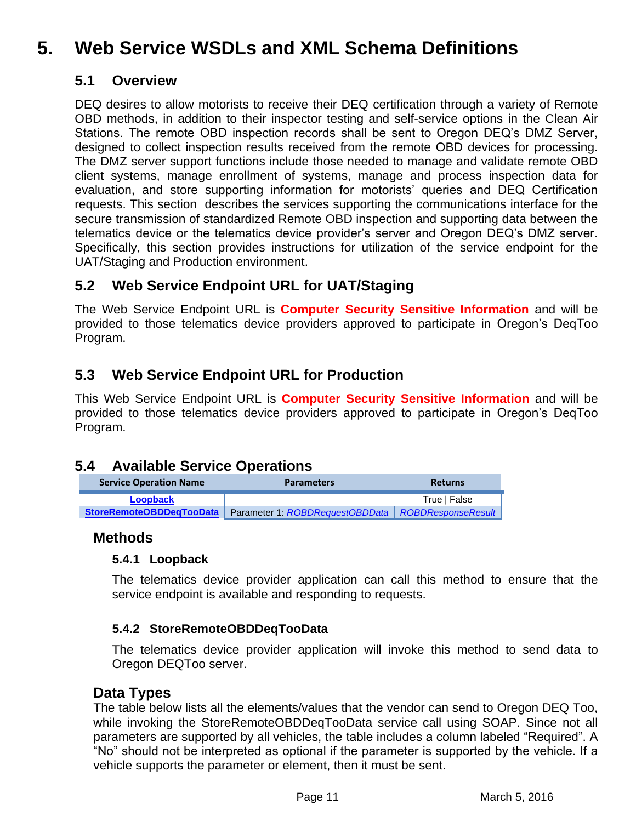# <span id="page-10-1"></span><span id="page-10-0"></span>**5. Web Service WSDLs and XML Schema Definitions**

### **5.1 Overview**

DEQ desires to allow motorists to receive their DEQ certification through a variety of Remote OBD methods, in addition to their inspector testing and self-service options in the Clean Air Stations. The remote OBD inspection records shall be sent to Oregon DEQ's DMZ Server, designed to collect inspection results received from the remote OBD devices for processing. The DMZ server support functions include those needed to manage and validate remote OBD client systems, manage enrollment of systems, manage and process inspection data for evaluation, and store supporting information for motorists' queries and DEQ Certification requests. This section describes the services supporting the communications interface for the secure transmission of standardized Remote OBD inspection and supporting data between the telematics device or the telematics device provider's server and Oregon DEQ's DMZ server. Specifically, this section provides instructions for utilization of the service endpoint for the UAT/Staging and Production environment.

# <span id="page-10-2"></span>**5.2 Web Service Endpoint URL for UAT/Staging**

The Web Service Endpoint URL is **Computer Security Sensitive Information** and will be provided to those telematics device providers approved to participate in Oregon's DeqToo Program.

# <span id="page-10-3"></span>**5.3 Web Service Endpoint URL for Production**

This Web Service Endpoint URL is **Computer Security Sensitive Information** and will be provided to those telematics device providers approved to participate in Oregon's DeqToo Program.

# <span id="page-10-4"></span>**5.4 Available Service Operations**

| <b>Service Operation Name</b> | <b>Parameters</b>                                                                      | <b>Returns</b> |
|-------------------------------|----------------------------------------------------------------------------------------|----------------|
| Loopback                      |                                                                                        | True   False   |
|                               | <b>StoreRemoteOBDDeqTooData</b>   Parameter 1: ROBDRequestOBDData   ROBDResponseResult |                |

### <span id="page-10-6"></span><span id="page-10-5"></span>**Methods**

#### **5.4.1 Loopback**

The telematics device provider application can call this method to ensure that the service endpoint is available and responding to requests.

#### <span id="page-10-7"></span>**5.4.2 StoreRemoteOBDDeqTooData**

The telematics device provider application will invoke this method to send data to Oregon DEQToo server.

# <span id="page-10-8"></span>**Data Types**

<span id="page-10-9"></span>The table below lists all the elements/values that the vendor can send to Oregon DEQ Too, while invoking the StoreRemoteOBDDeqTooData service call using SOAP. Since not all parameters are supported by all vehicles, the table includes a column labeled "Required". A "No" should not be interpreted as optional if the parameter is supported by the vehicle. If a vehicle supports the parameter or element, then it must be sent.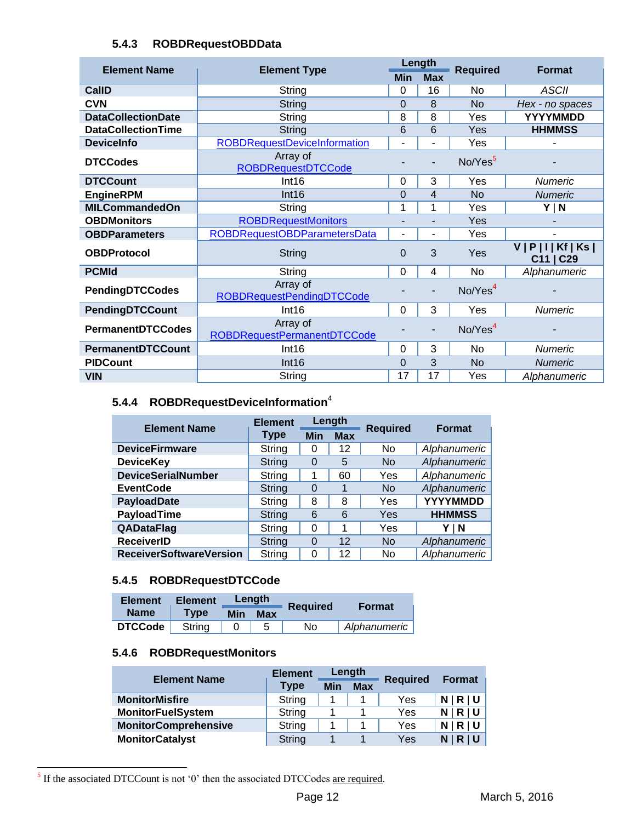#### <span id="page-11-0"></span>**5.4.3 ROBDRequestOBDData**

| <b>Element Name</b>       | <b>Element Type</b>                     |                | Length                   |                     | <b>Format</b>                        |
|---------------------------|-----------------------------------------|----------------|--------------------------|---------------------|--------------------------------------|
|                           |                                         | Min            | <b>Max</b>               | <b>Required</b>     |                                      |
| CallD<br>String           |                                         | 0              | 16                       | No                  | <b>ASCII</b>                         |
| <b>CVN</b>                | String                                  | $\Omega$       | 8                        | <b>No</b>           | Hex - no spaces                      |
| <b>DataCollectionDate</b> | String                                  | 8              | 8                        | Yes                 | <b>YYYYMMDD</b>                      |
| <b>DataCollectionTime</b> | String                                  | 6              | $6\phantom{1}6$          | <b>Yes</b>          | <b>HHMMSS</b>                        |
| <b>DeviceInfo</b>         | <b>ROBDRequestDeviceInformation</b>     | ۰              | $\overline{\phantom{0}}$ | Yes                 |                                      |
| <b>DTCCodes</b>           | Array of<br><b>ROBDRequestDTCCode</b>   |                |                          | No/Yes <sup>5</sup> |                                      |
| <b>DTCCount</b>           | Int16                                   | 0              | 3                        | Yes                 | <b>Numeric</b>                       |
| <b>EngineRPM</b>          | Int16                                   |                | $\overline{\mathcal{L}}$ | <b>No</b>           | <b>Numeric</b>                       |
| <b>MILCommandedOn</b>     | String                                  | 1              | 1                        | Yes                 | $Y \mid N$                           |
| <b>OBDMonitors</b>        | <b>ROBDRequestMonitors</b>              | ٠              | ٠                        | Yes                 |                                      |
| <b>OBDParameters</b>      | ROBDRequestOBDParametersData            | $\blacksquare$ | $\blacksquare$           | Yes                 |                                      |
| <b>OBDProtocol</b>        | String                                  |                | 3                        | <b>Yes</b>          | $V$   P   I   Kf   Ks  <br>C11   C29 |
| <b>PCMId</b>              | String                                  | 0              | 4                        | No.                 | Alphanumeric                         |
| <b>PendingDTCCodes</b>    | Array of<br>ROBDRequestPendingDTCCode   |                | -                        | No/Yes <sup>4</sup> |                                      |
| PendingDTCCount           | Int16                                   | 0              | 3                        | Yes                 | <b>Numeric</b>                       |
| <b>PermanentDTCCodes</b>  | Array of<br>ROBDRequestPermanentDTCCode |                | $\overline{a}$           | No/Yes <sup>4</sup> |                                      |
| <b>PermanentDTCCount</b>  | Int16                                   | $\Omega$       | 3                        | No                  | <b>Numeric</b>                       |
| <b>PIDCount</b>           | Int16                                   | $\mathbf 0$    | 3                        | <b>No</b>           | <b>Numeric</b>                       |
| <b>VIN</b>                | String                                  | 17             | 17                       | Yes                 | Alphanumeric                         |

### <span id="page-11-1"></span>**5.4.4 ROBDRequestDeviceInformation**<sup>4</sup>

| <b>Element Name</b>            | <b>Element</b> | Length     |            | <b>Required</b> | <b>Format</b>   |
|--------------------------------|----------------|------------|------------|-----------------|-----------------|
|                                | <b>Type</b>    | <b>Min</b> | <b>Max</b> |                 |                 |
| <b>DeviceFirmware</b>          | String         | 0          | 12         | No              | Alphanumeric    |
| <b>DeviceKey</b>               | <b>String</b>  | 0          | 5          | <b>No</b>       | Alphanumeric    |
| <b>DeviceSerialNumber</b>      | String         |            | 60         | Yes             | Alphanumeric    |
| <b>EventCode</b>               | String         | 0          |            | <b>No</b>       | Alphanumeric    |
| <b>PayloadDate</b>             | String         | 8          | 8          | Yes             | <b>YYYYMMDD</b> |
| PayloadTime                    | String         | 6          | 6          | Yes             | <b>HHMMSS</b>   |
| <b>QADataFlag</b>              | String         | 0          | 1          | Yes             | Y   N           |
| <b>ReceiverID</b>              | String         | 0          | 12         | <b>No</b>       | Alphanumeric    |
| <b>ReceiverSoftwareVersion</b> | String         | 0          | 12         | No              | Alphanumeric    |

### <span id="page-11-2"></span>**5.4.5 ROBDRequestDTCCode**

| <b>Element</b> | <b>Element</b> | Lenath     |            |                 | <b>Format</b> |  |
|----------------|----------------|------------|------------|-----------------|---------------|--|
| <b>Name</b>    | Tvpe           | <b>Min</b> | <b>Max</b> | <b>Required</b> |               |  |
| <b>DTCCode</b> | String         |            |            | No              | Alphanumeric  |  |

#### <span id="page-11-3"></span>**5.4.6 ROBDRequestMonitors**

| <b>Element Name</b>         | <b>Element</b> | Length |            | <b>Required</b> | <b>Format</b> |  |
|-----------------------------|----------------|--------|------------|-----------------|---------------|--|
|                             | <b>Type</b>    | Min    | <b>Max</b> |                 |               |  |
| <b>MonitorMisfire</b>       | String         |        |            | Yes             | N<br>$R$   U  |  |
| <b>MonitorFuelSystem</b>    | String         |        |            | Yes             | N             |  |
| <b>MonitorComprehensive</b> | String         |        |            | Yes             | ١U<br>N       |  |
| <b>MonitorCatalyst</b>      | String         |        |            | Yes             | N             |  |

<sup>&</sup>lt;sup>5</sup> If the associated DTCCount is not '0' then the associated DTCCodes <u>are required</u>.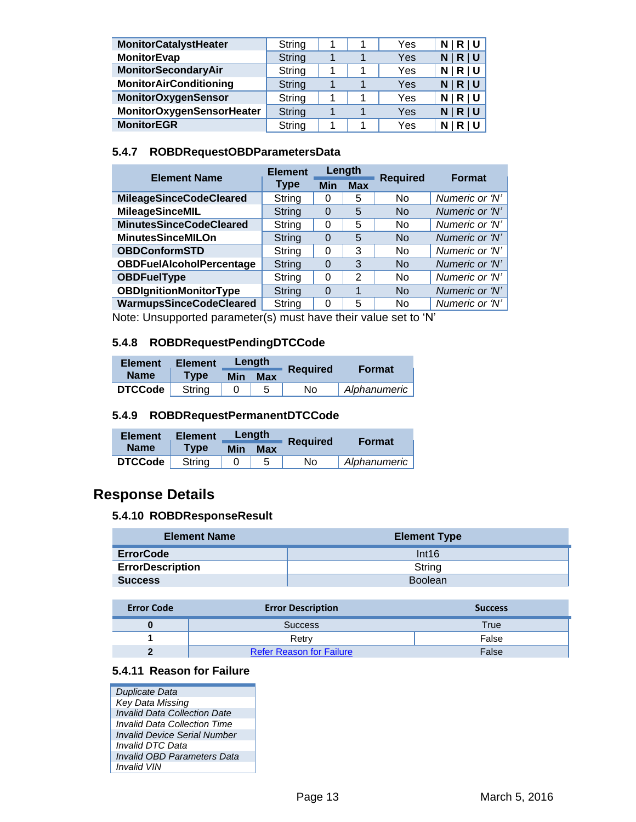| <b>MonitorCatalystHeater</b>     | String |  | Yes | IJ                 |
|----------------------------------|--------|--|-----|--------------------|
| <b>MonitorEvap</b>               | String |  | Yes |                    |
| <b>MonitorSecondaryAir</b>       | String |  | Yes | -U<br>R            |
| <b>MonitorAirConditioning</b>    | String |  | Yes | l U<br>R<br>N      |
| <b>MonitorOxygenSensor</b>       | String |  | Yes | N                  |
| <b>MonitorOxygenSensorHeater</b> | String |  | Yes | <b>U</b><br>R<br>N |
| <b>MonitorEGR</b>                | String |  | Yes |                    |

#### <span id="page-12-0"></span>**5.4.7 ROBDRequestOBDParametersData**

| <b>Element Name</b>             | <b>Element</b> | Length     |                | <b>Required</b> | <b>Format</b>  |  |
|---------------------------------|----------------|------------|----------------|-----------------|----------------|--|
|                                 | Type           | <b>Min</b> | <b>Max</b>     |                 |                |  |
| <b>MileageSinceCodeCleared</b>  | String         | 0          | 5              | N <sub>o</sub>  | Numeric or 'N' |  |
| <b>MileageSinceMIL</b>          | String         | 0          | 5              | N <sub>o</sub>  | Numeric or 'N' |  |
| <b>MinutesSinceCodeCleared</b>  | String         | 0          | 5              | N <sub>o</sub>  | Numeric or 'N' |  |
| <b>MinutesSinceMILOn</b>        | <b>String</b>  | 0          | 5              | N <sub>o</sub>  | Numeric or 'N' |  |
| <b>OBDConformSTD</b>            | String         | 0          | 3              | No.             | Numeric or 'N' |  |
| <b>OBDFuelAlcoholPercentage</b> | String         | 0          | 3              | N <sub>o</sub>  | Numeric or 'N' |  |
| <b>OBDFuelType</b>              | String         | 0          | $\overline{2}$ | No.             | Numeric or 'N' |  |
| <b>OBDIgnitionMonitorType</b>   | String         | 0          |                | N <sub>o</sub>  | Numeric or 'N' |  |
| WarmupsSinceCodeCleared         | String         | 0          | 5              | No              | Numeric or 'N' |  |

<span id="page-12-6"></span><span id="page-12-1"></span>Note: Unsupported parameter(s) must have their value set to 'N'

#### **5.4.8 ROBDRequestPendingDTCCode**

| <b>Element</b> | <b>Element</b> |            | Lenath     | <b>Required</b> | <b>Format</b> |  |
|----------------|----------------|------------|------------|-----------------|---------------|--|
| <b>Name</b>    | Tvpe           | <b>Min</b> | <b>Max</b> |                 |               |  |
| <b>DTCCode</b> | String         |            |            | No              | Alphanumeric  |  |

#### <span id="page-12-2"></span>**5.4.9 ROBDRequestPermanentDTCCode**

| <b>Element</b> | <b>Element</b> |                          | Lenath | <b>Required</b> | <b>Format</b> |  |
|----------------|----------------|--------------------------|--------|-----------------|---------------|--|
| <b>Name</b>    | <b>Type</b>    | <b>Min</b><br><b>Max</b> |        |                 |               |  |
| <b>DTCCode</b> | String         |                          |        | N٥              | Alphanumeric  |  |

### <span id="page-12-4"></span><span id="page-12-3"></span>**Response Details**

#### **5.4.10 ROBDResponseResult**

| <b>Element Name</b>     | <b>Element Type</b> |
|-------------------------|---------------------|
| <b>ErrorCode</b>        | Int16               |
| <b>ErrorDescription</b> | String              |
| <b>Success</b>          | <b>Boolean</b>      |

| <b>Error Code</b> | <b>Error Description</b>        | <b>Success</b> |
|-------------------|---------------------------------|----------------|
|                   | <b>Success</b>                  | True           |
|                   | Retry                           | False          |
|                   | <b>Refer Reason for Failure</b> | False          |

#### <span id="page-12-5"></span>**5.4.11 Reason for Failure**

| Duplicate Data                      |
|-------------------------------------|
| Key Data Missing                    |
| <b>Invalid Data Collection Date</b> |
| Invalid Data Collection Time        |
| Invalid Device Serial Number        |
| <b>Invalid DTC Data</b>             |
| Invalid OBD Parameters Data         |
| Invalid VIN                         |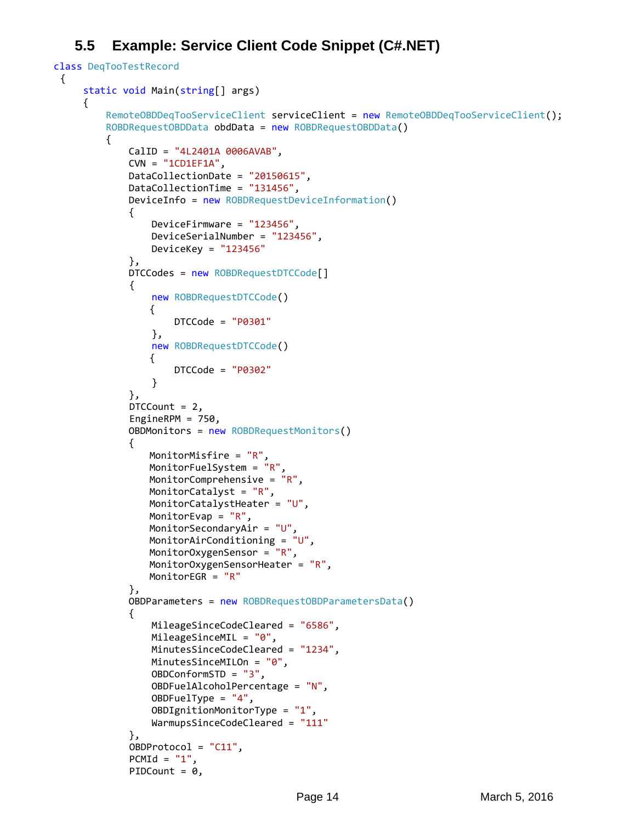# **5.5 Example: Service Client Code Snippet (C#.NET)**

```
 class DeqTooTestRecord
    {
        static void Main(string[] args)
        {
            RemoteOBDDeqTooServiceClient serviceClient = new RemoteOBDDeqTooServiceClient();
            ROBDRequestOBDData obdData = new ROBDRequestOBDData()
\{ CalID = "4L2401A 0006AVAB",
               CVN = "1CD1EF1A", DataCollectionDate = "20150615",
               DataCollectionTime = "131456",
                DeviceInfo = new ROBDRequestDeviceInformation()
\{ DeviceFirmware = "123456",
                   DeviceSerialNumber = "123456",
                   DeviceKey = "123456"
 },
                DTCCodes = new ROBDRequestDTCCode[]
                 {
                    new ROBDRequestDTCCode()
                   {
                        DTCCode = "P0301"
, and the state \} , and the state \} ,
                   new ROBDRequestDTCCode()
                   {
                        DTCCode = "P0302"
 }
                },
               DTCCount = 2,
                EngineRPM = 750,
                OBDMonitors = new ROBDRequestMonitors()
\{MonitorMisfire = "R",
                    MonitorFuelSystem = "R",
                    MonitorComprehensive = "R",
                    MonitorCatalyst = "R",
                    MonitorCatalystHeater = "U",
                   MonitorEvap = "R",
                    MonitorSecondaryAir = "U",
                    MonitorAirConditioning = "U",
                    MonitorOxygenSensor = "R",
                    MonitorOxygenSensorHeater = "R",
                    MonitorEGR = "R"
                },
                OBDParameters = new ROBDRequestOBDParametersData()
\overline{a} MileageSinceCodeCleared = "6586",
                   MileageSinceMIL = "0",
                    MinutesSinceCodeCleared = "1234",
                   MinutesSinceMILOn = "0",
                    OBDConformSTD = "3",
                    OBDFuelAlcoholPercentage = "N",
                    OBDFuelType = "4",
                    OBDIgnitionMonitorType = "1",
                   WarmupsSinceCodeCleared = "111"
                 },
                 OBDProtocol = "C11",
                PCMId = "1",PIDCount = 0,
```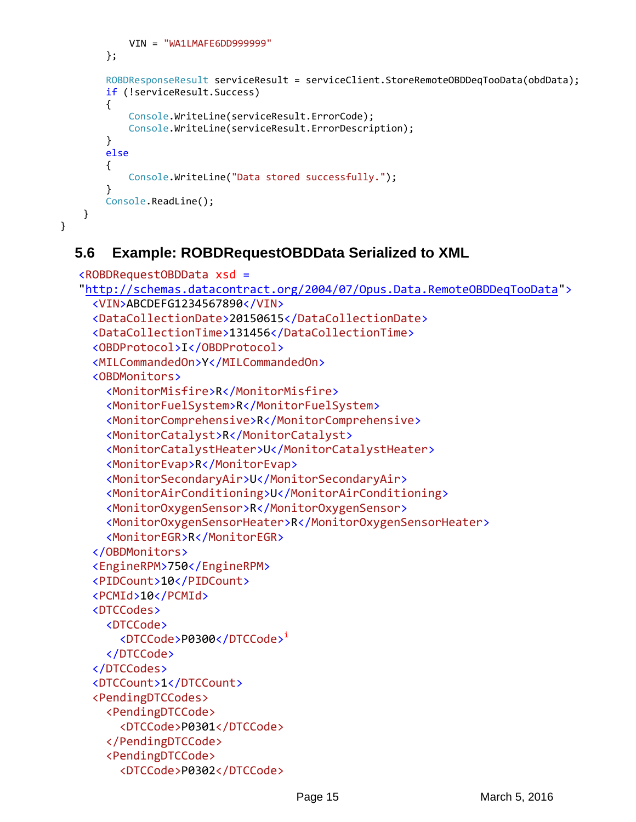```
 VIN = "WA1LMAFE6DD999999"
            };
           ROBDResponseResult serviceResult = serviceClient.StoreRemoteOBDDeqTooData(obdData);
            if (!serviceResult.Success)
\{ Console.WriteLine(serviceResult.ErrorCode);
               Console.WriteLine(serviceResult.ErrorDescription);
 }
           else
\{ Console.WriteLine("Data stored successfully.");
 }
           Console.ReadLine();
        }
```
# **5.6 Example: ROBDRequestOBDData Serialized to XML**

<span id="page-14-0"></span>}

```
<ROBDRequestOBDData xsd =
"http://schemas.datacontract.org/2004/07/Opus.Data.RemoteOBDDeqTooData">
   <VIN>ABCDEFG1234567890</VIN>
   <DataCollectionDate>20150615</DataCollectionDate>
   <DataCollectionTime>131456</DataCollectionTime>
   <OBDProtocol>I</OBDProtocol>
   <MILCommandedOn>Y</MILCommandedOn>
   <OBDMonitors>
     <MonitorMisfire>R</MonitorMisfire>
     <MonitorFuelSystem>R</MonitorFuelSystem>
     <MonitorComprehensive>R</MonitorComprehensive>
     <MonitorCatalyst>R</MonitorCatalyst>
     <MonitorCatalystHeater>U</MonitorCatalystHeater>
     <MonitorEvap>R</MonitorEvap>
     <MonitorSecondaryAir>U</MonitorSecondaryAir>
     <MonitorAirConditioning>U</MonitorAirConditioning>
     <MonitorOxygenSensor>R</MonitorOxygenSensor>
     <MonitorOxygenSensorHeater>R</MonitorOxygenSensorHeater>
     <MonitorEGR>R</MonitorEGR>
   </OBDMonitors>
   <EngineRPM>750</EngineRPM>
   <PIDCount>10</PIDCount>
   <PCMId>10</PCMId>
   <DTCCodes>
     <DTCCode>
 <DTCCode>P0300</DTCCode>
i
     </DTCCode>
   </DTCCodes>
   <DTCCount>1</DTCCount>
   <PendingDTCCodes>
     <PendingDTCCode>
       <DTCCode>P0301</DTCCode>
     </PendingDTCCode>
     <PendingDTCCode>
       <DTCCode>P0302</DTCCode>
```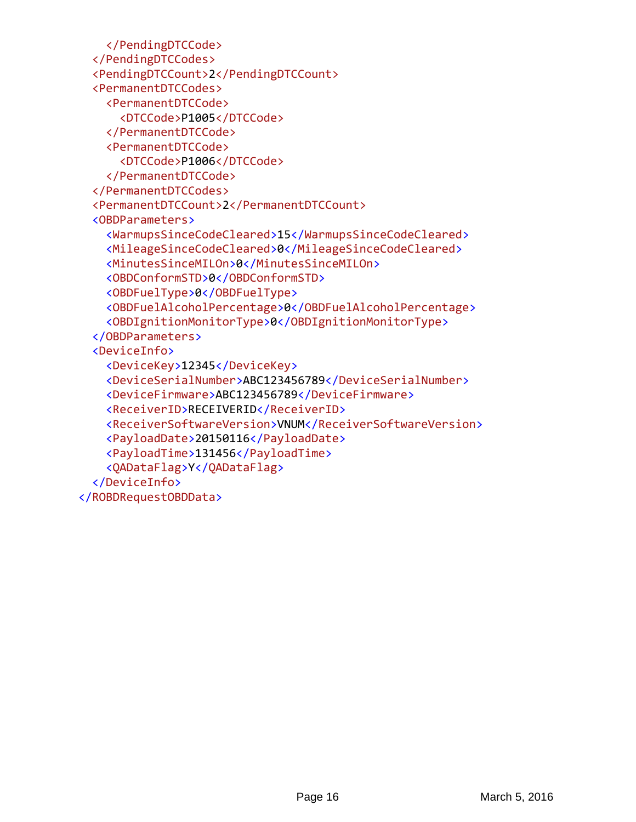```
 </PendingDTCCode>
   </PendingDTCCodes>
   <PendingDTCCount>2</PendingDTCCount>
   <PermanentDTCCodes>
     <PermanentDTCCode>
       <DTCCode>P1005</DTCCode>
     </PermanentDTCCode>
     <PermanentDTCCode>
       <DTCCode>P1006</DTCCode>
     </PermanentDTCCode>
   </PermanentDTCCodes>
   <PermanentDTCCount>2</PermanentDTCCount>
   <OBDParameters>
     <WarmupsSinceCodeCleared>15</WarmupsSinceCodeCleared>
     <MileageSinceCodeCleared>0</MileageSinceCodeCleared>
     <MinutesSinceMILOn>0</MinutesSinceMILOn>
     <OBDConformSTD>0</OBDConformSTD>
     <OBDFuelType>0</OBDFuelType>
     <OBDFuelAlcoholPercentage>0</OBDFuelAlcoholPercentage>
     <OBDIgnitionMonitorType>0</OBDIgnitionMonitorType>
   </OBDParameters>
   <DeviceInfo>
     <DeviceKey>12345</DeviceKey>
     <DeviceSerialNumber>ABC123456789</DeviceSerialNumber>
     <DeviceFirmware>ABC123456789</DeviceFirmware>
     <ReceiverID>RECEIVERID</ReceiverID>
     <ReceiverSoftwareVersion>VNUM</ReceiverSoftwareVersion>
     <PayloadDate>20150116</PayloadDate>
     <PayloadTime>131456</PayloadTime>
     <QADataFlag>Y</QADataFlag>
   </DeviceInfo>
</ROBDRequestOBDData>
```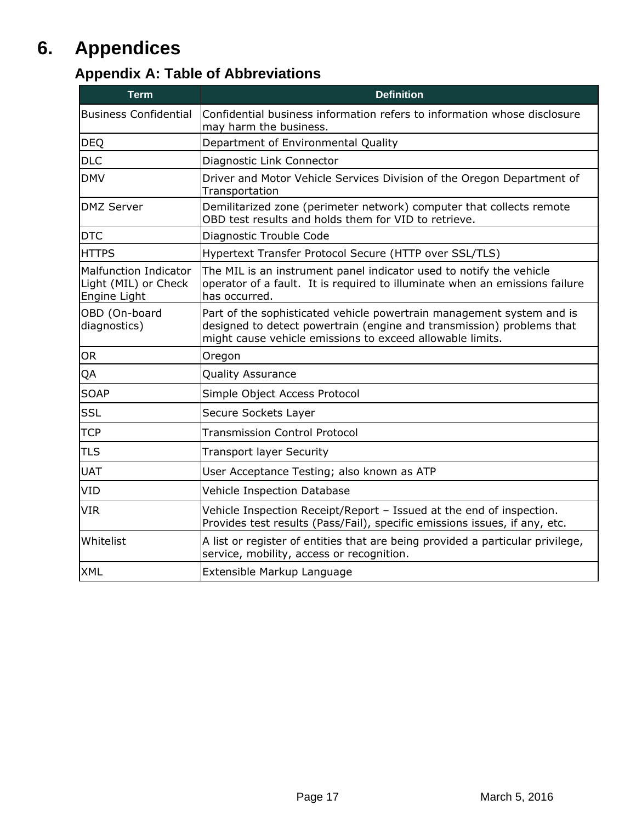# <span id="page-16-0"></span>**6. Appendices**

# <span id="page-16-1"></span>**Appendix A: Table of Abbreviations**

| <b>Term</b>                                                          | <b>Definition</b>                                                                                                                                                                                           |  |
|----------------------------------------------------------------------|-------------------------------------------------------------------------------------------------------------------------------------------------------------------------------------------------------------|--|
| <b>Business Confidential</b>                                         | Confidential business information refers to information whose disclosure<br>may harm the business.                                                                                                          |  |
| <b>DEQ</b>                                                           | Department of Environmental Quality                                                                                                                                                                         |  |
| <b>DLC</b>                                                           | Diagnostic Link Connector                                                                                                                                                                                   |  |
| <b>DMV</b>                                                           | Driver and Motor Vehicle Services Division of the Oregon Department of<br>Transportation                                                                                                                    |  |
| <b>DMZ</b> Server                                                    | Demilitarized zone (perimeter network) computer that collects remote<br>OBD test results and holds them for VID to retrieve.                                                                                |  |
| <b>DTC</b>                                                           | Diagnostic Trouble Code                                                                                                                                                                                     |  |
| <b>HTTPS</b>                                                         | Hypertext Transfer Protocol Secure (HTTP over SSL/TLS)                                                                                                                                                      |  |
| <b>Malfunction Indicator</b><br>Light (MIL) or Check<br>Engine Light | The MIL is an instrument panel indicator used to notify the vehicle<br>operator of a fault. It is required to illuminate when an emissions failure<br>has occurred.                                         |  |
| OBD (On-board<br>diagnostics)                                        | Part of the sophisticated vehicle powertrain management system and is<br>designed to detect powertrain (engine and transmission) problems that<br>might cause vehicle emissions to exceed allowable limits. |  |
| <b>OR</b>                                                            | Oregon                                                                                                                                                                                                      |  |
| QA                                                                   | <b>Quality Assurance</b>                                                                                                                                                                                    |  |
| <b>SOAP</b>                                                          | Simple Object Access Protocol                                                                                                                                                                               |  |
| <b>SSL</b>                                                           | Secure Sockets Layer                                                                                                                                                                                        |  |
| <b>TCP</b>                                                           | <b>Transmission Control Protocol</b>                                                                                                                                                                        |  |
| <b>TLS</b>                                                           | <b>Transport layer Security</b>                                                                                                                                                                             |  |
| <b>UAT</b>                                                           | User Acceptance Testing; also known as ATP                                                                                                                                                                  |  |
| <b>VID</b>                                                           | Vehicle Inspection Database                                                                                                                                                                                 |  |
| <b>VIR</b>                                                           | Vehicle Inspection Receipt/Report - Issued at the end of inspection.<br>Provides test results (Pass/Fail), specific emissions issues, if any, etc.                                                          |  |
| Whitelist                                                            | A list or register of entities that are being provided a particular privilege,<br>service, mobility, access or recognition.                                                                                 |  |
| <b>XML</b>                                                           | Extensible Markup Language                                                                                                                                                                                  |  |